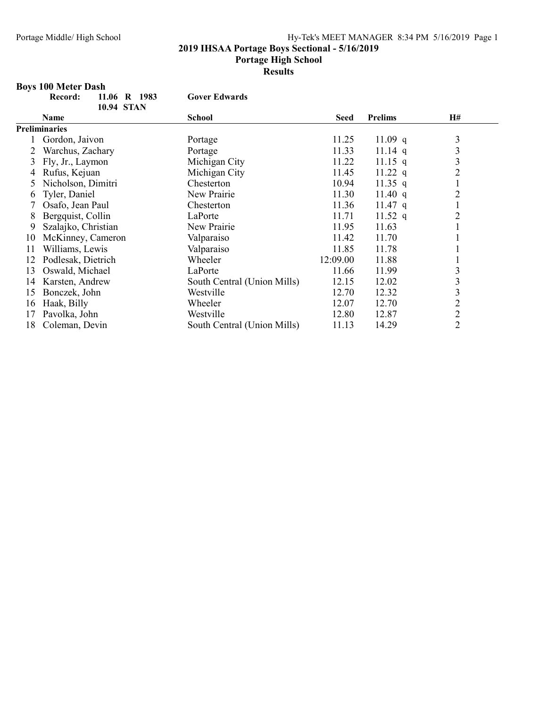2019 IHSAA Portage Boys Sectional - 5/16/2019

#### Portage High School

Results

## Boys 100 Meter Dash

|    | 11.06 R 1983<br>Record: | <b>Gover Edwards</b>        |             |                |                |  |
|----|-------------------------|-----------------------------|-------------|----------------|----------------|--|
|    | <b>10.94 STAN</b>       |                             |             |                |                |  |
|    | Name                    | <b>School</b>               | <b>Seed</b> | <b>Prelims</b> | <b>H#</b>      |  |
|    | <b>Preliminaries</b>    |                             |             |                |                |  |
|    | Gordon, Jaivon          | Portage                     | 11.25       | 11.09 $q$      | 3              |  |
|    | Warchus, Zachary        | Portage                     | 11.33       | 11.14 q        | 3              |  |
| 3  | Fly, Jr., Laymon        | Michigan City               | 11.22       | $11.15$ q      | 3              |  |
|    | Rufus, Kejuan           | Michigan City               | 11.45       | 11.22 q        | $\overline{2}$ |  |
| 5. | Nicholson, Dimitri      | Chesterton                  | 10.94       | 11.35 q        |                |  |
| 6  | Tyler, Daniel           | New Prairie                 | 11.30       | 11.40 $q$      | $\overline{2}$ |  |
|    | Osafo, Jean Paul        | Chesterton                  | 11.36       | $11.47$ q      |                |  |
| 8  | Bergquist, Collin       | LaPorte                     | 11.71       | 11.52 q        | $\overline{2}$ |  |
| 9  | Szalajko, Christian     | New Prairie                 | 11.95       | 11.63          |                |  |
| 10 | McKinney, Cameron       | Valparaiso                  | 11.42       | 11.70          |                |  |
| 11 | Williams, Lewis         | Valparaiso                  | 11.85       | 11.78          |                |  |
| 12 | Podlesak, Dietrich      | Wheeler                     | 12:09.00    | 11.88          |                |  |
| 13 | Oswald, Michael         | LaPorte                     | 11.66       | 11.99          | 3              |  |
| 14 | Karsten, Andrew         | South Central (Union Mills) | 12.15       | 12.02          | 3              |  |
| 15 | Bonczek, John           | Westville                   | 12.70       | 12.32          | 3              |  |
| 16 | Haak, Billy             | Wheeler                     | 12.07       | 12.70          | $\overline{c}$ |  |
| 17 | Pavolka, John           | Westville                   | 12.80       | 12.87          | $\overline{c}$ |  |
| 18 | Coleman, Devin          | South Central (Union Mills) | 11.13       | 14.29          | $\overline{2}$ |  |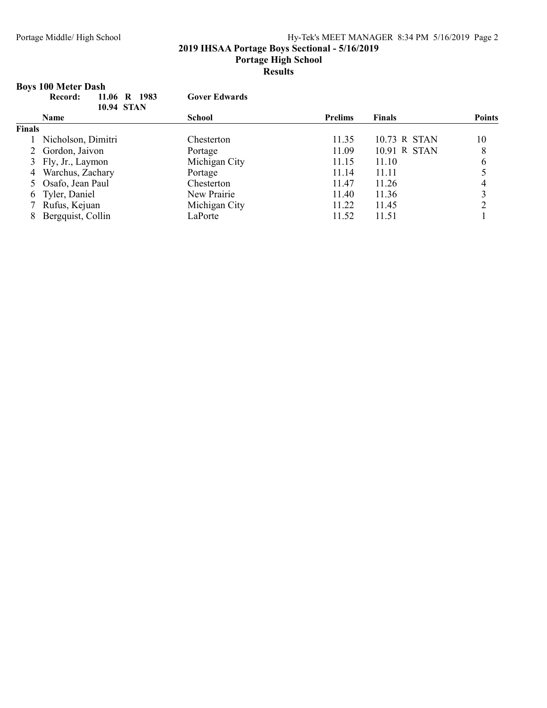#### 2019 IHSAA Portage Boys Sectional - 5/16/2019

Portage High School

### Results

## Boys 100 Meter Dash

|               | 11.06 R 1983<br>Record:<br><b>10.94 STAN</b> | <b>Gover Edwards</b> |                |               |               |
|---------------|----------------------------------------------|----------------------|----------------|---------------|---------------|
|               | <b>Name</b>                                  | <b>School</b>        | <b>Prelims</b> | <b>Finals</b> | <b>Points</b> |
| <b>Finals</b> |                                              |                      |                |               |               |
|               | 1 Nicholson, Dimitri                         | Chesterton           | 11.35          | 10.73 R STAN  | 10            |
|               | 2 Gordon, Jaivon                             | Portage              | 11.09          | 10.91 R STAN  | 8             |
|               | 3 Fly, Jr., Laymon                           | Michigan City        | 11.15          | 11.10         | 6             |
|               | 4 Warchus, Zachary                           | Portage              | 11.14          | 11.11         |               |
|               | 5 Osafo, Jean Paul                           | Chesterton           | 11.47          | 11.26         |               |
|               | 6 Tyler, Daniel                              | New Prairie          | 11.40          | 11.36         |               |
|               | Rufus, Kejuan                                | Michigan City        | 11.22          | 11.45         |               |
|               | Bergquist, Collin                            | LaPorte              | 11.52          | 11.51         |               |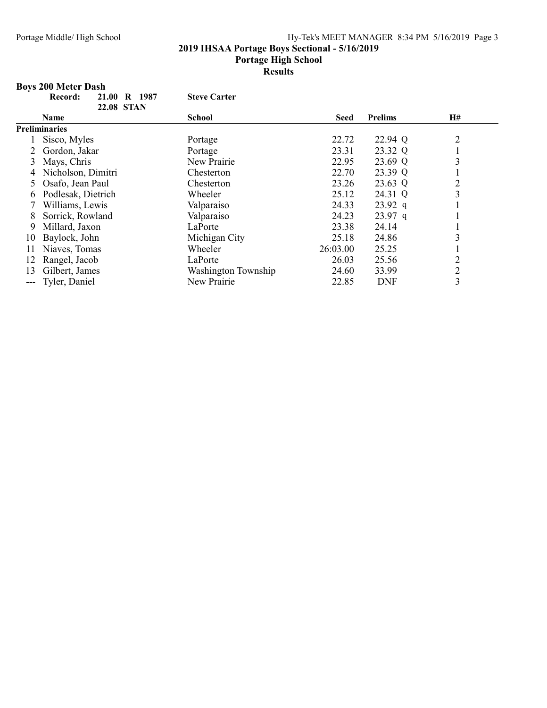2019 IHSAA Portage Boys Sectional - 5/16/2019

#### Portage High School

Results

## Boys 200 Meter Dash

|    | 21.00<br>R 1987<br>Record: | <b>Steve Carter</b> |             |                |                |  |
|----|----------------------------|---------------------|-------------|----------------|----------------|--|
|    | <b>22.08 STAN</b>          |                     |             |                |                |  |
|    | Name                       | <b>School</b>       | <b>Seed</b> | <b>Prelims</b> | Н#             |  |
|    | <b>Preliminaries</b>       |                     |             |                |                |  |
|    | Sisco, Myles               | Portage             | 22.72       | 22.94 Q        | $\overline{2}$ |  |
|    | Gordon, Jakar              | Portage             | 23.31       | 23.32 Q        |                |  |
| 3  | Mays, Chris                | New Prairie         | 22.95       | 23.69 Q        | 3              |  |
| 4  | Nicholson, Dimitri         | Chesterton          | 22.70       | 23.39 Q        |                |  |
|    | Osafo, Jean Paul           | Chesterton          | 23.26       | 23.63 Q        | $\overline{c}$ |  |
| 6. | Podlesak, Dietrich         | Wheeler             | 25.12       | 24.31 Q        | 3              |  |
|    | Williams, Lewis            | Valparaiso          | 24.33       | $23.92$ q      |                |  |
| 8  | Sorrick, Rowland           | Valparaiso          | 24.23       | $23.97$ q      |                |  |
| 9  | Millard, Jaxon             | LaPorte             | 23.38       | 24.14          |                |  |
| 10 | Baylock, John              | Michigan City       | 25.18       | 24.86          | 3              |  |
| 11 | Niaves, Tomas              | Wheeler             | 26:03.00    | 25.25          |                |  |
| 12 | Rangel, Jacob              | LaPorte             | 26.03       | 25.56          | $\overline{2}$ |  |
| 13 | Gilbert, James             | Washington Township | 24.60       | 33.99          | $\overline{2}$ |  |
|    | Tyler, Daniel              | New Prairie         | 22.85       | <b>DNF</b>     | 3              |  |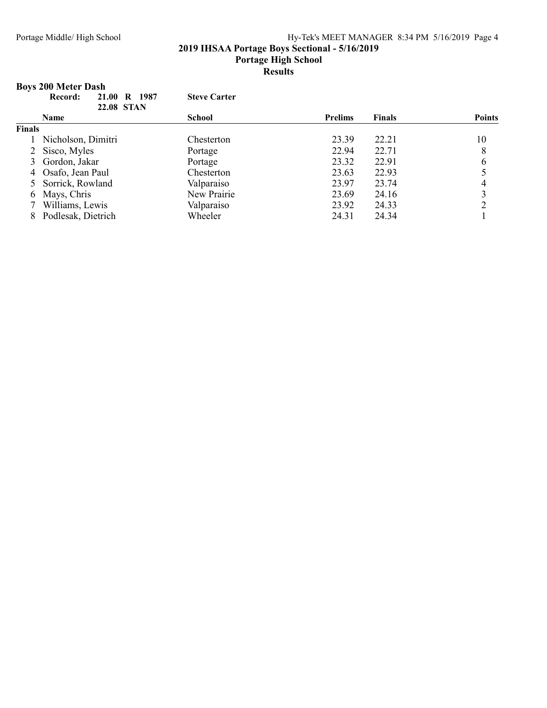#### 2019 IHSAA Portage Boys Sectional - 5/16/2019

Portage High School

#### Results

## Boys 200 Meter Dash

|               | 1987<br>21.00<br>$\mathbf R$<br>Record:<br><b>22.08 STAN</b> | <b>Steve Carter</b> |                |               |               |
|---------------|--------------------------------------------------------------|---------------------|----------------|---------------|---------------|
|               | <b>Name</b>                                                  | <b>School</b>       | <b>Prelims</b> | <b>Finals</b> | <b>Points</b> |
| <b>Finals</b> |                                                              |                     |                |               |               |
|               | Nicholson, Dimitri                                           | Chesterton          | 23.39          | 22.21         | 10            |
|               | 2 Sisco, Myles                                               | Portage             | 22.94          | 22.71         | 8             |
|               | Gordon, Jakar                                                | Portage             | 23.32          | 22.91         | 6             |
|               | 4 Osafo, Jean Paul                                           | Chesterton          | 23.63          | 22.93         |               |
|               | 5 Sorrick, Rowland                                           | Valparaiso          | 23.97          | 23.74         |               |
|               | 6 Mays, Chris                                                | New Prairie         | 23.69          | 24.16         | 3             |
|               | Williams, Lewis                                              | Valparaiso          | 23.92          | 24.33         | 2             |
|               | Podlesak, Dietrich                                           | Wheeler             | 24.31          | 24.34         |               |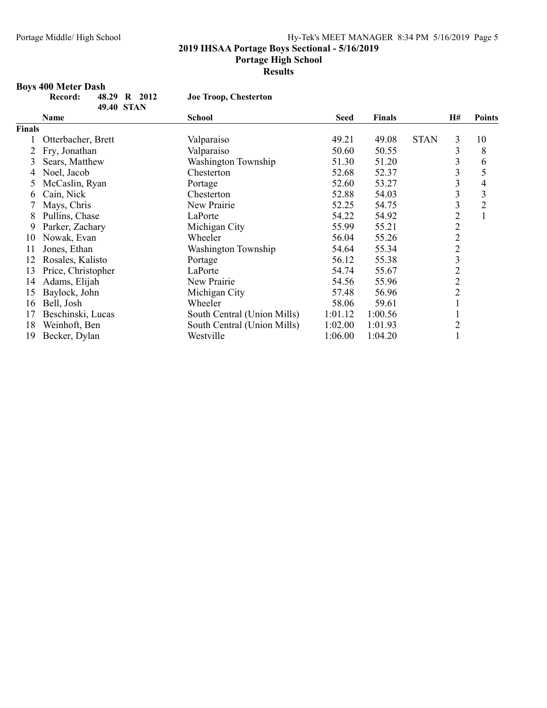2019 IHSAA Portage Boys Sectional - 5/16/2019

#### Portage High School

**Results** 

## Boys 400 Meter Dash

| cord: | 48.29 R 2012 |  |  |
|-------|--------------|--|--|
|       | 49.40 STAN   |  |  |

Joe Troop, Chesterton

|               | Name               | <b>School</b>               | <b>Seed</b> | <b>Finals</b> |             | <b>H#</b>      | <b>Points</b>  |
|---------------|--------------------|-----------------------------|-------------|---------------|-------------|----------------|----------------|
| <b>Finals</b> |                    |                             |             |               |             |                |                |
|               | Otterbacher, Brett | Valparaiso                  | 49.21       | 49.08         | <b>STAN</b> | 3              | 10             |
|               | Fry, Jonathan      | Valparaiso                  | 50.60       | 50.55         |             | 3              | 8              |
| 3             | Sears, Matthew     | Washington Township         | 51.30       | 51.20         |             | 3              | 6              |
| 4             | Noel, Jacob        | Chesterton                  | 52.68       | 52.37         |             | 3              | 5              |
|               | McCaslin, Ryan     | Portage                     | 52.60       | 53.27         |             | 3              | 4              |
| b             | Cain, Nick         | Chesterton                  | 52.88       | 54.03         |             | 3              | 3              |
|               | Mays, Chris        | New Prairie                 | 52.25       | 54.75         |             | 3              | $\overline{2}$ |
| 8             | Pullins, Chase     | LaPorte                     | 54.22       | 54.92         |             | $\overline{2}$ | 1              |
| 9             | Parker, Zachary    | Michigan City               | 55.99       | 55.21         |             | $\overline{c}$ |                |
| 10            | Nowak, Evan        | Wheeler                     | 56.04       | 55.26         |             | $\overline{2}$ |                |
| 11            | Jones, Ethan       | Washington Township         | 54.64       | 55.34         |             | $\overline{c}$ |                |
| 12            | Rosales, Kalisto   | Portage                     | 56.12       | 55.38         |             | 3              |                |
| 13            | Price, Christopher | LaPorte                     | 54.74       | 55.67         |             | $\overline{c}$ |                |
| 14            | Adams, Elijah      | New Prairie                 | 54.56       | 55.96         |             | $\overline{c}$ |                |
| 15            | Baylock, John      | Michigan City               | 57.48       | 56.96         |             | $\overline{2}$ |                |
| 16            | Bell, Josh         | Wheeler                     | 58.06       | 59.61         |             |                |                |
| 17            | Beschinski, Lucas  | South Central (Union Mills) | 1:01.12     | 1:00.56       |             |                |                |
| 18            | Weinhoft, Ben      | South Central (Union Mills) | 1:02.00     | 1:01.93       |             | $\overline{c}$ |                |
| 19            | Becker, Dylan      | Westville                   | 1:06.00     | 1:04.20       |             |                |                |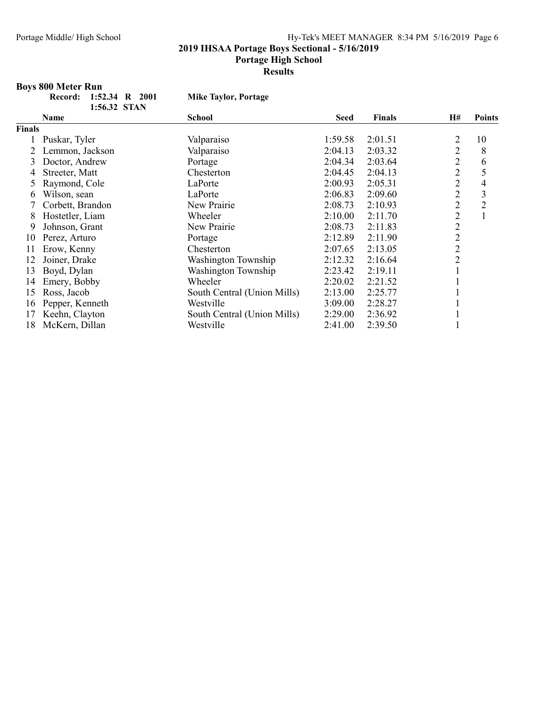2019 IHSAA Portage Boys Sectional - 5/16/2019

#### Portage High School

Presults

## Boys 800 Meter Run

| 2001: 1:52.34 R 2001 |  |  |
|----------------------|--|--|
| 1:56.32 STAN         |  |  |

Mike Taylor, Portage

|        | Name             | <b>School</b>               | <b>Seed</b> | <b>Finals</b> | H#             | <b>Points</b>  |
|--------|------------------|-----------------------------|-------------|---------------|----------------|----------------|
| Finals |                  |                             |             |               |                |                |
|        | Puskar, Tyler    | Valparaiso                  | 1:59.58     | 2:01.51       | 2              | 10             |
|        | Lemmon, Jackson  | Valparaiso                  | 2:04.13     | 2:03.32       | $\overline{2}$ | 8              |
| 3      | Doctor, Andrew   | Portage                     | 2:04.34     | 2:03.64       | $\overline{2}$ | 6              |
| 4      | Streeter, Matt   | Chesterton                  | 2:04.45     | 2:04.13       | $\overline{2}$ | 5              |
|        | Raymond, Cole    | LaPorte                     | 2:00.93     | 2:05.31       | $\overline{2}$ | 4              |
| 6      | Wilson, sean     | LaPorte                     | 2:06.83     | 2:09.60       | $\overline{2}$ | 3              |
|        | Corbett, Brandon | New Prairie                 | 2:08.73     | 2:10.93       | $\overline{2}$ | $\overline{2}$ |
| 8      | Hostetler, Liam  | Wheeler                     | 2:10.00     | 2:11.70       | $\overline{2}$ |                |
| 9      | Johnson, Grant   | New Prairie                 | 2:08.73     | 2:11.83       | $\overline{2}$ |                |
| 10     | Perez, Arturo    | Portage                     | 2:12.89     | 2:11.90       | $\overline{2}$ |                |
| 11     | Erow, Kenny      | Chesterton                  | 2:07.65     | 2:13.05       | $\overline{2}$ |                |
| 12     | Joiner, Drake    | Washington Township         | 2:12.32     | 2:16.64       | $\overline{2}$ |                |
| 13     | Boyd, Dylan      | Washington Township         | 2:23.42     | 2:19.11       |                |                |
| 14     | Emery, Bobby     | Wheeler                     | 2:20.02     | 2:21.52       |                |                |
| 15     | Ross, Jacob      | South Central (Union Mills) | 2:13.00     | 2:25.77       |                |                |
| 16     | Pepper, Kenneth  | Westville                   | 3:09.00     | 2:28.27       |                |                |
| 17     | Keehn, Clayton   | South Central (Union Mills) | 2:29.00     | 2:36.92       |                |                |
| 18     | McKern, Dillan   | Westville                   | 2:41.00     | 2:39.50       |                |                |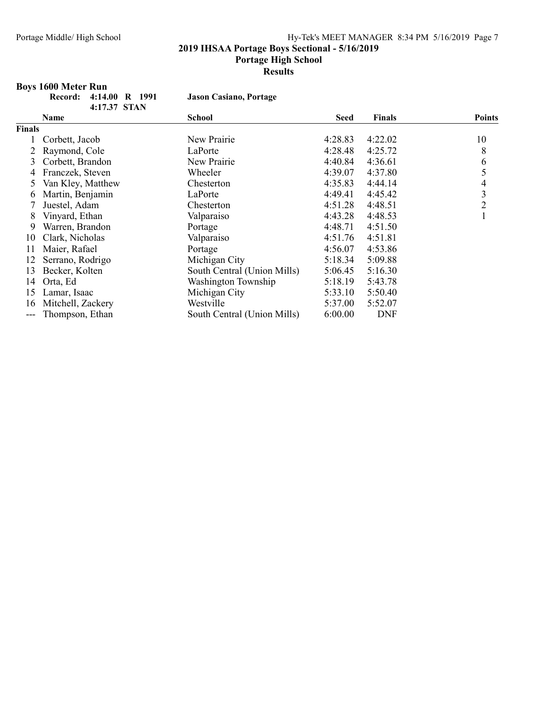#### 2019 IHSAA Portage Boys Sectional - 5/16/2019

#### Portage High School

Results

## Boys 1600 Meter Run

| Record: 4:14.00 R 199 |              |  |
|-----------------------|--------------|--|
|                       | 4:17.37 STAN |  |

1 Jason Casiano, Portage

|               | Name              | <b>School</b>               | <b>Seed</b> | <b>Finals</b> | <b>Points</b> |
|---------------|-------------------|-----------------------------|-------------|---------------|---------------|
| <b>Finals</b> |                   |                             |             |               |               |
|               | Corbett, Jacob    | New Prairie                 | 4:28.83     | 4:22.02       | 10            |
|               | Raymond, Cole     | LaPorte                     | 4:28.48     | 4:25.72       | 8             |
| 3             | Corbett, Brandon  | New Prairie                 | 4:40.84     | 4:36.61       | 6             |
| 4             | Franczek, Steven  | Wheeler                     | 4:39.07     | 4:37.80       | 5             |
| 5             | Van Kley, Matthew | Chesterton                  | 4:35.83     | 4:44.14       | 4             |
| 6             | Martin, Benjamin  | LaPorte                     | 4:49.41     | 4:45.42       | 3             |
|               | Juestel, Adam     | Chesterton                  | 4:51.28     | 4:48.51       | 2             |
| 8             | Vinyard, Ethan    | Valparaiso                  | 4:43.28     | 4:48.53       |               |
| 9             | Warren, Brandon   | Portage                     | 4:48.71     | 4:51.50       |               |
| 10            | Clark, Nicholas   | Valparaiso                  | 4:51.76     | 4:51.81       |               |
| 11            | Maier, Rafael     | Portage                     | 4:56.07     | 4:53.86       |               |
| 12            | Serrano, Rodrigo  | Michigan City               | 5:18.34     | 5:09.88       |               |
| 13            | Becker, Kolten    | South Central (Union Mills) | 5:06.45     | 5:16.30       |               |
| 14            | Orta, Ed          | Washington Township         | 5:18.19     | 5:43.78       |               |
| 15            | Lamar, Isaac      | Michigan City               | 5:33.10     | 5:50.40       |               |
| 16            | Mitchell, Zackery | Westville                   | 5:37.00     | 5:52.07       |               |
| ---           | Thompson, Ethan   | South Central (Union Mills) | 6:00.00     | <b>DNF</b>    |               |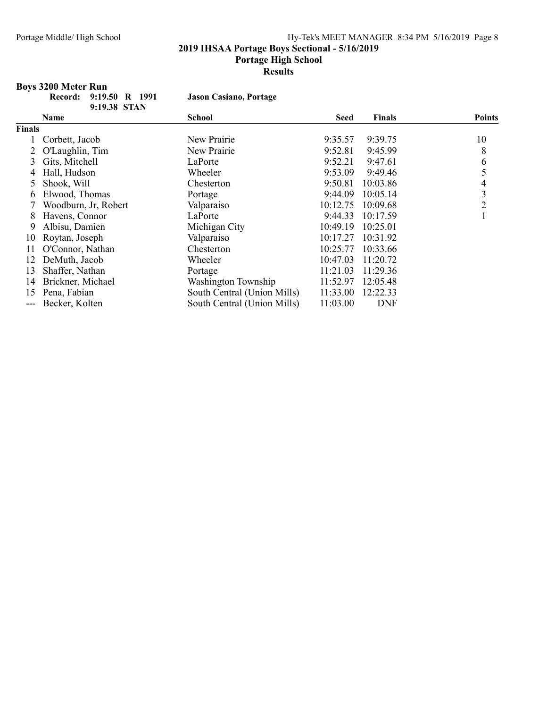#### 2019 IHSAA Portage Boys Sectional - 5/16/2019

Portage High School

Presults

## Boys 3200 Meter Run<br>Record: 9:19.

| Record: 9:19.50 R 1991 |              |  |
|------------------------|--------------|--|
|                        | 9:19.38 STAN |  |

Jason Casiano, Portage

|               | Name                 | <b>School</b>               | <b>Seed</b> | <b>Finals</b> | <b>Points</b>  |
|---------------|----------------------|-----------------------------|-------------|---------------|----------------|
| <b>Finals</b> |                      |                             |             |               |                |
|               | Corbett, Jacob       | New Prairie                 | 9:35.57     | 9:39.75       | 10             |
|               | O'Laughlin, Tim      | New Prairie                 | 9:52.81     | 9:45.99       | 8              |
| 3             | Gits, Mitchell       | LaPorte                     | 9:52.21     | 9:47.61       | 6              |
| 4             | Hall, Hudson         | Wheeler                     | 9:53.09     | 9:49.46       |                |
| 5             | Shook, Will          | Chesterton                  | 9:50.81     | 10:03.86      | 4              |
| 6             | Elwood, Thomas       | Portage                     | 9:44.09     | 10:05.14      | 3              |
|               | Woodburn, Jr, Robert | Valparaiso                  | 10:12.75    | 10:09.68      | $\overline{2}$ |
| 8             | Havens, Connor       | LaPorte                     | 9:44.33     | 10:17.59      |                |
| 9             | Albisu, Damien       | Michigan City               | 10:49.19    | 10:25.01      |                |
| 10            | Roytan, Joseph       | Valparaiso                  | 10:17.27    | 10:31.92      |                |
| 11            | O'Connor, Nathan     | Chesterton                  | 10:25.77    | 10:33.66      |                |
| 12            | DeMuth, Jacob        | Wheeler                     | 10:47.03    | 11:20.72      |                |
| 13            | Shaffer, Nathan      | Portage                     | 11:21.03    | 11:29.36      |                |
| 14            | Brickner, Michael    | Washington Township         | 11:52.97    | 12:05.48      |                |
| 15            | Pena, Fabian         | South Central (Union Mills) | 11:33.00    | 12:22.33      |                |
| ---           | Becker, Kolten       | South Central (Union Mills) | 11:03.00    | <b>DNF</b>    |                |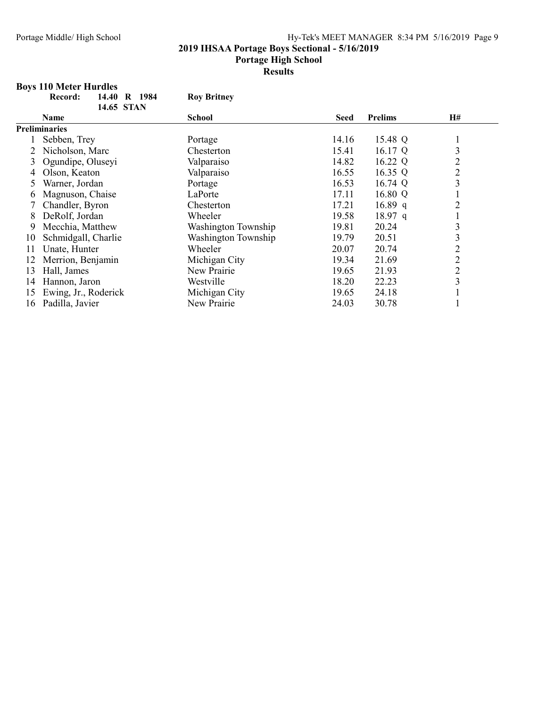2019 IHSAA Portage Boys Sectional - 5/16/2019

#### Portage High School

Results

## Boys 110 Meter Hurdles

|    | R 1984<br>Record:<br>14.40 | <b>Roy Britney</b>  |             |                |                |  |
|----|----------------------------|---------------------|-------------|----------------|----------------|--|
|    | 14.65 STAN                 |                     |             |                |                |  |
|    | Name                       | <b>School</b>       | <b>Seed</b> | <b>Prelims</b> | <b>H#</b>      |  |
|    | <b>Preliminaries</b>       |                     |             |                |                |  |
|    | Sebben, Trey               | Portage             | 14.16       | 15.48 Q        |                |  |
|    | Nicholson, Marc            | Chesterton          | 15.41       | 16.17 Q        | 3              |  |
|    | Ogundipe, Oluseyi          | Valparaiso          | 14.82       | 16.22 Q        | $\overline{c}$ |  |
|    | Olson, Keaton              | Valparaiso          | 16.55       | 16.35 Q        | $\overline{2}$ |  |
|    | Warner, Jordan             | Portage             | 16.53       | 16.74 Q        | 3              |  |
| b  | Magnuson, Chaise           | LaPorte             | 17.11       | 16.80 Q        |                |  |
|    | Chandler, Byron            | Chesterton          | 17.21       | 16.89 q        | $\overline{2}$ |  |
| 8  | DeRolf, Jordan             | Wheeler             | 19.58       | $18.97$ q      |                |  |
| 9  | Mecchia, Matthew           | Washington Township | 19.81       | 20.24          | 3              |  |
| 10 | Schmidgall, Charlie        | Washington Township | 19.79       | 20.51          | 3              |  |
| 11 | Unate, Hunter              | Wheeler             | 20.07       | 20.74          | $\overline{2}$ |  |
| 12 | Merrion, Benjamin          | Michigan City       | 19.34       | 21.69          | $\overline{c}$ |  |
| 13 | Hall, James                | New Prairie         | 19.65       | 21.93          | $\overline{c}$ |  |
| 14 | Hannon, Jaron              | Westville           | 18.20       | 22.23          | 3              |  |
| 15 | Ewing, Jr., Roderick       | Michigan City       | 19.65       | 24.18          |                |  |
| 16 | Padilla, Javier            | New Prairie         | 24.03       | 30.78          |                |  |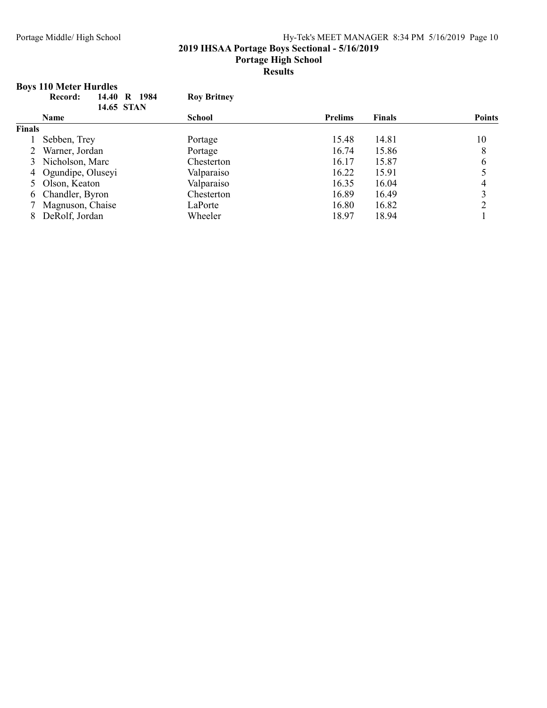#### 2019 IHSAA Portage Boys Sectional - 5/16/2019

Portage High School

#### Results

## Boys 110 Meter Hurdles

|               | 14.40<br>R 1984<br>Record:<br>14.65 STAN | <b>Roy Britney</b> |                |               |               |
|---------------|------------------------------------------|--------------------|----------------|---------------|---------------|
|               | <b>Name</b>                              | <b>School</b>      | <b>Prelims</b> | <b>Finals</b> | <b>Points</b> |
| <b>Finals</b> |                                          |                    |                |               |               |
|               | Sebben, Trey                             | Portage            | 15.48          | 14.81         | 10            |
|               | Warner, Jordan                           | Portage            | 16.74          | 15.86         | 8             |
|               | 3 Nicholson, Marc                        | Chesterton         | 16.17          | 15.87         | 6             |
|               | 4 Ogundipe, Oluseyi                      | Valparaiso         | 16.22          | 15.91         |               |
|               | 5 Olson, Keaton                          | Valparaiso         | 16.35          | 16.04         |               |
|               | 6 Chandler, Byron                        | Chesterton         | 16.89          | 16.49         | 3             |
|               | Magnuson, Chaise                         | LaPorte            | 16.80          | 16.82         | ↑             |
| 8             | DeRolf, Jordan                           | Wheeler            | 18.97          | 18.94         |               |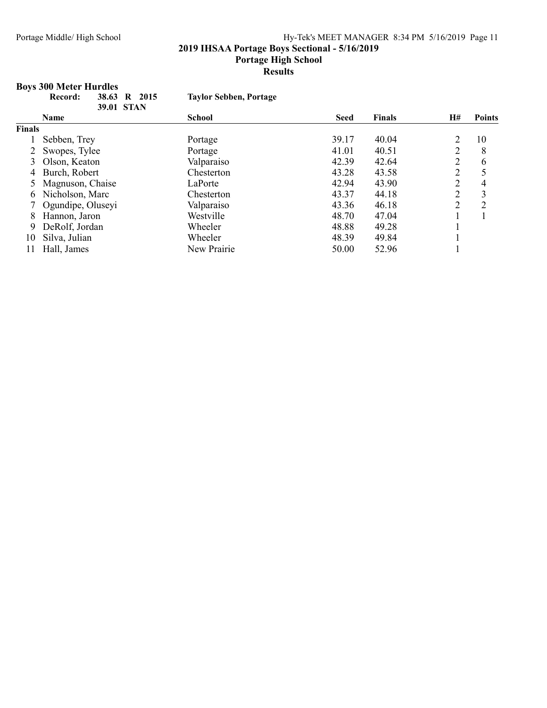2019 IHSAA Portage Boys Sectional - 5/16/2019

#### Portage High School

#### Results

## Boys 300 Meter Hurdles

|        | 38.63<br>Record:  | R 2015<br><b>Taylor Sebben, Portage</b> |             |               |                |                |
|--------|-------------------|-----------------------------------------|-------------|---------------|----------------|----------------|
|        | 39.01 STAN        |                                         |             |               |                |                |
|        | <b>Name</b>       | <b>School</b>                           | <b>Seed</b> | <b>Finals</b> | <b>H#</b>      | <b>Points</b>  |
| Finals |                   |                                         |             |               |                |                |
|        | Sebben, Trey      | Portage                                 | 39.17       | 40.04         | 2              | 10             |
|        | Swopes, Tylee     | Portage                                 | 41.01       | 40.51         | $\overline{2}$ | 8              |
| 3      | Olson, Keaton     | Valparaiso                              | 42.39       | 42.64         | $\overline{2}$ | 6              |
| 4      | Burch, Robert     | Chesterton                              | 43.28       | 43.58         | $\overline{2}$ |                |
| 5      | Magnuson, Chaise  | LaPorte                                 | 42.94       | 43.90         | $\overline{2}$ | 4              |
| b.     | Nicholson, Marc   | Chesterton                              | 43.37       | 44.18         | $\overline{2}$ | 3              |
|        | Ogundipe, Oluseyi | Valparaiso                              | 43.36       | 46.18         | 2              | $\overline{2}$ |
| 8      | Hannon, Jaron     | Westville                               | 48.70       | 47.04         |                |                |
| 9      | DeRolf, Jordan    | Wheeler                                 | 48.88       | 49.28         |                |                |
| 10     | Silva, Julian     | Wheeler                                 | 48.39       | 49.84         |                |                |
| 11     | Hall, James       | New Prairie                             | 50.00       | 52.96         |                |                |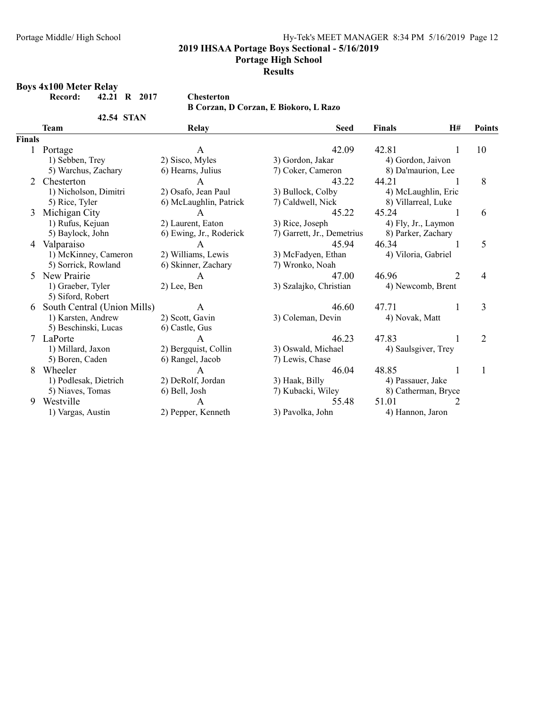2019 IHSAA Portage Boys Sectional - 5/16/2019

Portage High School

## Presults

#### Boys 4x100 Meter Relay

42.54 STAN

B Corzan, D Corzan, E Biokoro, L Razo

|              | Team                        | <b>Relay</b>            | <b>Seed</b>                | <b>Finals</b>       | <b>H#</b>    | <b>Points</b>  |
|--------------|-----------------------------|-------------------------|----------------------------|---------------------|--------------|----------------|
| Finals       |                             |                         |                            |                     |              |                |
| $\mathbf{1}$ | Portage                     | A                       | 42.09                      | 42.81               | 1            | 10             |
|              | 1) Sebben, Trey             | 2) Sisco, Myles         | 3) Gordon, Jakar           | 4) Gordon, Jaivon   |              |                |
|              | 5) Warchus, Zachary         | 6) Hearns, Julius       | 7) Coker, Cameron          | 8) Da'maurion, Lee  |              |                |
| 2            | Chesterton                  | $\mathsf{A}$            | 43.22                      | 44.21               |              | 8              |
|              | 1) Nicholson, Dimitri       | 2) Osafo, Jean Paul     | 3) Bullock, Colby          | 4) McLaughlin, Eric |              |                |
|              | 5) Rice, Tyler              | 6) McLaughlin, Patrick  | 7) Caldwell, Nick          | 8) Villarreal, Luke |              |                |
| 3            | Michigan City               | $\mathsf{A}$            | 45.22                      | 45.24               | $\mathbf{1}$ | 6              |
|              | 1) Rufus, Kejuan            | 2) Laurent, Eaton       | 3) Rice, Joseph            | 4) Fly, Jr., Laymon |              |                |
|              | 5) Baylock, John            | 6) Ewing, Jr., Roderick | 7) Garrett, Jr., Demetrius | 8) Parker, Zachary  |              |                |
| 4            | Valparaiso                  | $\mathsf{A}$            | 45.94                      | 46.34               |              | 5              |
|              | 1) McKinney, Cameron        | 2) Williams, Lewis      | 3) McFadyen, Ethan         | 4) Viloria, Gabriel |              |                |
|              | 5) Sorrick, Rowland         | 6) Skinner, Zachary     | 7) Wronko, Noah            |                     |              |                |
| 5            | New Prairie                 | A                       | 47.00                      | 46.96               | 2            | $\overline{4}$ |
|              | 1) Graeber, Tyler           | 2) Lee, Ben             | 3) Szalajko, Christian     | 4) Newcomb, Brent   |              |                |
|              | 5) Siford, Robert           |                         |                            |                     |              |                |
| 6            | South Central (Union Mills) | A                       | 46.60                      | 47.71               | 1            | 3              |
|              | 1) Karsten, Andrew          | 2) Scott, Gavin         | 3) Coleman, Devin          | 4) Novak, Matt      |              |                |
|              | 5) Beschinski, Lucas        | 6) Castle, Gus          |                            |                     |              |                |
|              | 7 LaPorte                   | $\mathsf{A}$            | 46.23                      | 47.83               |              | 2              |
|              | 1) Millard, Jaxon           | 2) Bergquist, Collin    | 3) Oswald, Michael         | 4) Saulsgiver, Trey |              |                |
|              | 5) Boren, Caden             | 6) Rangel, Jacob        | 7) Lewis, Chase            |                     |              |                |
| 8            | Wheeler                     | $\mathsf{A}$            | 46.04                      | 48.85               |              |                |
|              | 1) Podlesak, Dietrich       | 2) DeRolf, Jordan       | 3) Haak, Billy             | 4) Passauer, Jake   |              |                |
|              | 5) Niaves, Tomas            | 6) Bell, Josh           | 7) Kubacki, Wiley          | 8) Catherman, Bryce |              |                |
| 9            | Westville                   | A                       | 55.48                      | 51.01               |              |                |
|              | 1) Vargas, Austin           | 2) Pepper, Kenneth      | 3) Pavolka, John           | 4) Hannon, Jaron    |              |                |

Record: 42.21 R 2017 Chesterton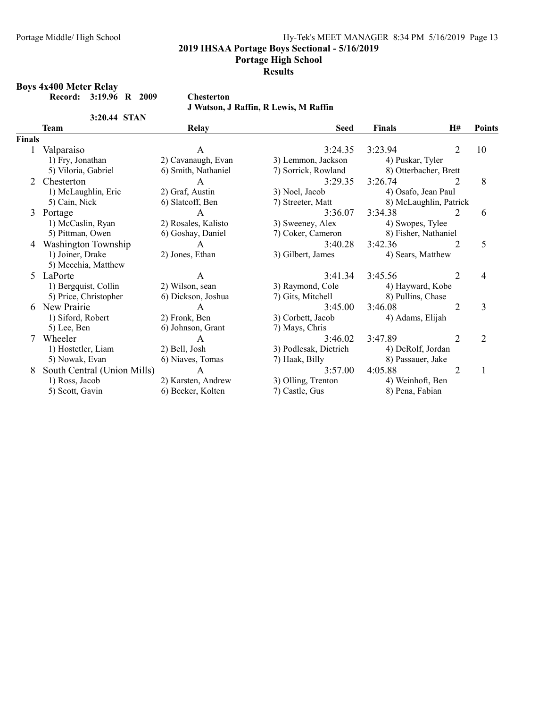2019 IHSAA Portage Boys Sectional - 5/16/2019

Portage High School

Presults

#### Boys 4x400 Meter Relay

Record: 3:19.96 R 2009 Chesterton

3:20.44 STAN

J Watson, J Raffin, R Lewis, M Raffin

|        | Team                        | <b>Relay</b>        | <b>Seed</b>           | <b>Finals</b>          | <b>H#</b>      | <b>Points</b> |
|--------|-----------------------------|---------------------|-----------------------|------------------------|----------------|---------------|
| Finals |                             |                     |                       |                        |                |               |
| 1      | Valparaiso                  | A                   | 3:24.35               | 3:23.94                | 2              | 10            |
|        | 1) Fry, Jonathan            | 2) Cavanaugh, Evan  | 3) Lemmon, Jackson    | 4) Puskar, Tyler       |                |               |
|        | 5) Viloria, Gabriel         | 6) Smith, Nathaniel | 7) Sorrick, Rowland   | 8) Otterbacher, Brett  |                |               |
| 2      | Chesterton                  | A                   | 3:29.35               | 3:26.74                | 2              | 8             |
|        | 1) McLaughlin, Eric         | 2) Graf, Austin     | 3) Noel, Jacob        | 4) Osafo, Jean Paul    |                |               |
|        | 5) Cain, Nick               | 6) Slatcoff, Ben    | 7) Streeter, Matt     | 8) McLaughlin, Patrick |                |               |
| 3      | Portage                     | A                   | 3:36.07               | 3:34.38                | 2              | 6             |
|        | 1) McCaslin, Ryan           | 2) Rosales, Kalisto | 3) Sweeney, Alex      | 4) Swopes, Tylee       |                |               |
|        | 5) Pittman, Owen            | 6) Goshay, Daniel   | 7) Coker, Cameron     | 8) Fisher, Nathaniel   |                |               |
| 4      | Washington Township         | A                   | 3:40.28               | 3:42.36                | 2              | 5             |
|        | 1) Joiner, Drake            | 2) Jones, Ethan     | 3) Gilbert, James     | 4) Sears, Matthew      |                |               |
|        | 5) Mecchia, Matthew         |                     |                       |                        |                |               |
|        | 5 LaPorte                   | A                   | 3:41.34               | 3:45.56                | $\overline{2}$ | 4             |
|        | 1) Bergquist, Collin        | 2) Wilson, sean     | 3) Raymond, Cole      | 4) Hayward, Kobe       |                |               |
|        | 5) Price, Christopher       | 6) Dickson, Joshua  | 7) Gits, Mitchell     | 8) Pullins, Chase      |                |               |
| 6      | New Prairie                 | A                   | 3:45.00               | 3:46.08                | $\overline{2}$ | 3             |
|        | 1) Siford, Robert           | 2) Fronk, Ben       | 3) Corbett, Jacob     | 4) Adams, Elijah       |                |               |
|        | 5) Lee, Ben                 | 6) Johnson, Grant   | 7) Mays, Chris        |                        |                |               |
| 7      | Wheeler                     | A                   | 3:46.02               | 3:47.89                | 2              | 2             |
|        | 1) Hostetler, Liam          | 2) Bell, Josh       | 3) Podlesak, Dietrich | 4) DeRolf, Jordan      |                |               |
|        | 5) Nowak, Evan              | 6) Niaves, Tomas    | 7) Haak, Billy        | 8) Passauer, Jake      |                |               |
| 8      | South Central (Union Mills) | A                   | 3:57.00               | 4:05.88                | 2              | $\mathbf{1}$  |
|        | 1) Ross, Jacob              | 2) Karsten, Andrew  | 3) Olling, Trenton    | 4) Weinhoft, Ben       |                |               |
|        | 5) Scott, Gavin             | 6) Becker, Kolten   | 7) Castle, Gus        | 8) Pena, Fabian        |                |               |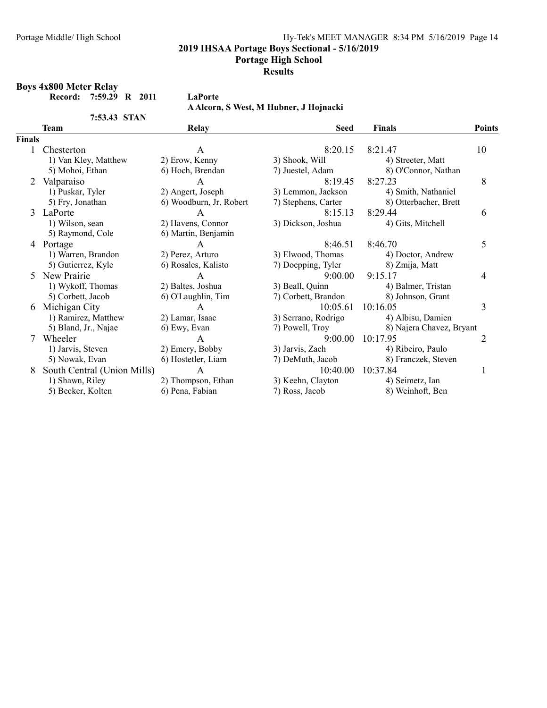2019 IHSAA Portage Boys Sectional - 5/16/2019

Portage High School

## Presults

#### Boys 4x800 Meter Relay

7:53.43 STAN

A Alcorn, S West, M Hubner, J Hojnacki

|               | Team                        | <b>Relay</b>            | <b>Seed</b>         | <b>Finals</b>            | <b>Points</b> |
|---------------|-----------------------------|-------------------------|---------------------|--------------------------|---------------|
| <b>Finals</b> |                             |                         |                     |                          |               |
|               | Chesterton                  | A                       | 8:20.15             | 8:21.47                  | 10            |
|               | 1) Van Kley, Matthew        | 2) Erow, Kenny          | 3) Shook, Will      | 4) Streeter, Matt        |               |
|               | 5) Mohoi, Ethan             | 6) Hoch, Brendan        | 7) Juestel, Adam    | 8) O'Connor, Nathan      |               |
| 2             | Valparaiso                  | A                       | 8:19.45             | 8:27.23                  | 8             |
|               | 1) Puskar, Tyler            | 2) Angert, Joseph       | 3) Lemmon, Jackson  | 4) Smith, Nathaniel      |               |
|               | 5) Fry, Jonathan            | 6) Woodburn, Jr, Robert | 7) Stephens, Carter | 8) Otterbacher, Brett    |               |
| 3             | LaPorte                     | A                       | 8:15.13             | 8:29.44                  | 6             |
|               | 1) Wilson, sean             | 2) Havens, Connor       | 3) Dickson, Joshua  | 4) Gits, Mitchell        |               |
|               | 5) Raymond, Cole            | 6) Martin, Benjamin     |                     |                          |               |
| 4             | Portage                     | A                       | 8:46.51             | 8:46.70                  | 5             |
|               | 1) Warren, Brandon          | 2) Perez, Arturo        | 3) Elwood, Thomas   | 4) Doctor, Andrew        |               |
|               | 5) Gutierrez, Kyle          | 6) Rosales, Kalisto     | 7) Doepping, Tyler  | 8) Zmija, Matt           |               |
| 5.            | New Prairie                 | А                       | 9:00.00             | 9:15.17                  | 4             |
|               | 1) Wykoff, Thomas           | 2) Baltes, Joshua       | 3) Beall, Quinn     | 4) Balmer, Tristan       |               |
|               | 5) Corbett, Jacob           | 6) O'Laughlin, Tim      | 7) Corbett, Brandon | 8) Johnson, Grant        |               |
| 6             | Michigan City               | A                       | 10:05.61            | 10:16.05                 | 3             |
|               | 1) Ramirez, Matthew         | 2) Lamar, Isaac         | 3) Serrano, Rodrigo | 4) Albisu, Damien        |               |
|               | 5) Bland, Jr., Najae        | 6) Ewy, Evan            | 7) Powell, Troy     | 8) Najera Chavez, Bryant |               |
|               | Wheeler                     | A                       | 9:00.00             | 10:17.95                 | 2             |
|               | 1) Jarvis, Steven           | 2) Emery, Bobby         | 3) Jarvis, Zach     | 4) Ribeiro, Paulo        |               |
|               | 5) Nowak, Evan              | 6) Hostetler, Liam      | 7) DeMuth, Jacob    | 8) Franczek, Steven      |               |
| 8             | South Central (Union Mills) | A                       | 10:40.00            | 10:37.84                 | $\mathbf{I}$  |
|               | 1) Shawn, Riley             | 2) Thompson, Ethan      | 3) Keehn, Clayton   | 4) Seimetz, Ian          |               |
|               | 5) Becker, Kolten           | 6) Pena, Fabian         | 7) Ross, Jacob      | 8) Weinhoft, Ben         |               |

Record: 7:59.29 R 2011 LaPorte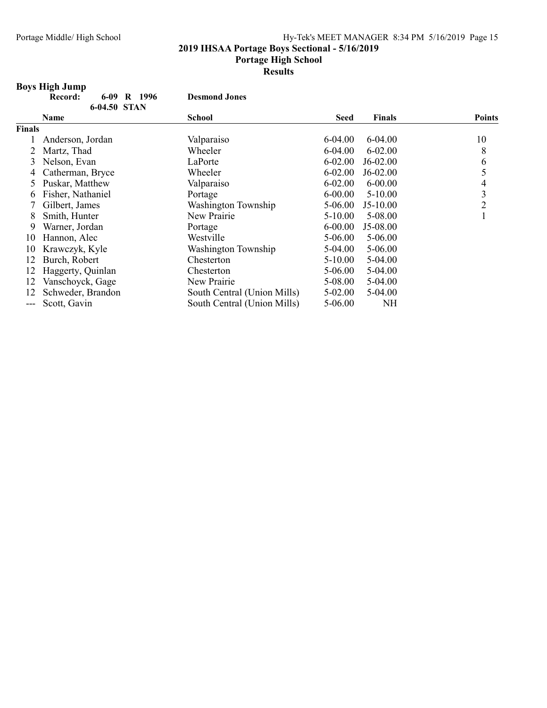#### 2019 IHSAA Portage Boys Sectional - 5/16/2019

#### Portage High School

Results

## Boys High Jump

|        | <b>Boys High Jump</b>        |                             |             |               |                |
|--------|------------------------------|-----------------------------|-------------|---------------|----------------|
|        | 1996<br>Record:<br>6-09<br>R | <b>Desmond Jones</b>        |             |               |                |
|        | 6-04.50 STAN                 |                             |             |               |                |
|        | Name                         | School                      | <b>Seed</b> | <b>Finals</b> | <b>Points</b>  |
| Finals |                              |                             |             |               |                |
|        | Anderson, Jordan             | Valparaiso                  | 6-04.00     | $6-04.00$     | 10             |
|        | Martz, Thad                  | Wheeler                     | 6-04.00     | $6 - 02.00$   | 8              |
| 3      | Nelson, Evan                 | LaPorte                     | $6 - 02.00$ | J6-02.00      | 6              |
| 4      | Catherman, Bryce             | Wheeler                     | $6 - 02.00$ | J6-02.00      | 5              |
| 5      | Puskar, Matthew              | Valparaiso                  | $6 - 02.00$ | $6 - 00.00$   | 4              |
| 6      | Fisher, Nathaniel            | Portage                     | $6 - 00.00$ | $5-10.00$     | 3              |
|        | Gilbert, James               | Washington Township         | 5-06.00     | J5-10.00      | $\overline{2}$ |
| 8      | Smith, Hunter                | New Prairie                 | 5-10.00     | 5-08.00       |                |
| 9      | Warner, Jordan               | Portage                     | $6 - 00.00$ | J5-08.00      |                |
| 10     | Hannon, Alec                 | Westville                   | 5-06.00     | 5-06.00       |                |
| 10     | Krawczyk, Kyle               | Washington Township         | 5-04.00     | 5-06.00       |                |
| 12     | Burch, Robert                | Chesterton                  | 5-10.00     | 5-04.00       |                |
| 12     | Haggerty, Quinlan            | Chesterton                  | 5-06.00     | 5-04.00       |                |
| 12     | Vanschoyck, Gage             | New Prairie                 | 5-08.00     | 5-04.00       |                |
| 12     | Schweder, Brandon            | South Central (Union Mills) | 5-02.00     | 5-04.00       |                |
| $---$  | Scott, Gavin                 | South Central (Union Mills) | 5-06.00     | NH            |                |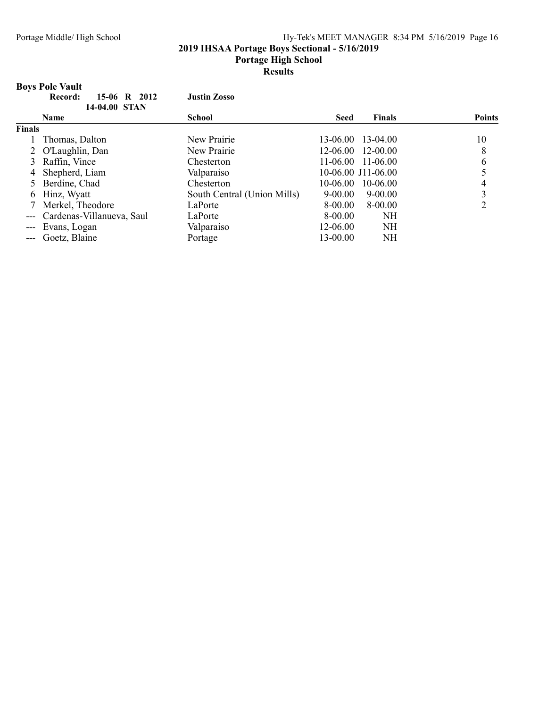#### 2019 IHSAA Portage Boys Sectional - 5/16/2019

#### Portage High School

Results

## Boys Pole Vault

|               | 15-06 R 2012<br>Record:       | <b>Justin Zosso</b>         |                     |               |               |
|---------------|-------------------------------|-----------------------------|---------------------|---------------|---------------|
|               | 14-04.00 STAN                 |                             |                     |               |               |
|               | <b>Name</b>                   | School                      | <b>Seed</b>         | <b>Finals</b> | <b>Points</b> |
| <b>Finals</b> |                               |                             |                     |               |               |
|               | Thomas, Dalton                | New Prairie                 | 13-06.00 13-04.00   |               | 10            |
|               | 2 O'Laughlin, Dan             | New Prairie                 | 12-06.00 12-00.00   |               | 8             |
|               | Raffin, Vince                 | Chesterton                  | $11-06.00$ 11-06.00 |               | 6             |
| 4             | Shepherd, Liam                | Valparaiso                  | 10-06.00 J11-06.00  |               |               |
|               | 5 Berdine, Chad               | Chesterton                  | $10 - 06.00$        | 10-06.00      | 4             |
| 6             | Hinz, Wyatt                   | South Central (Union Mills) | $9 - 00.00$         | $9 - 00.00$   | 3             |
|               | Merkel, Theodore              | LaPorte                     | 8-00.00             | 8-00.00       | ↑             |
|               | --- Cardenas-Villanueva, Saul | LaPorte                     | 8-00.00             | NH            |               |
| $---$         | Evans, Logan                  | Valparaiso                  | 12-06.00            | <b>NH</b>     |               |
| $---$         | Goetz, Blaine                 | Portage                     | 13-00.00            | NΗ            |               |
|               |                               |                             |                     |               |               |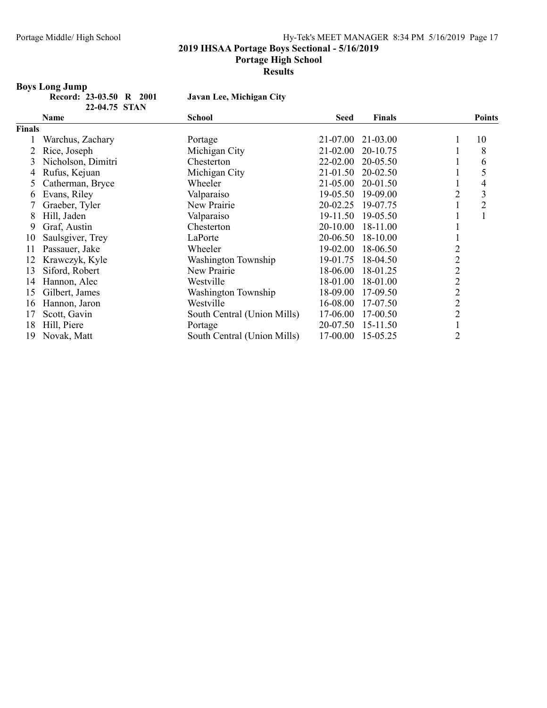#### 2019 IHSAA Portage Boys Sectional - 5/16/2019

#### Portage High School

Presults

#### Boys Long Jump

Record: 23-03.50 R 2001 Javan Lee, Michigan City 22-04.75 STAN

|        | Name               | <b>School</b>               | <b>Seed</b> | <b>Finals</b> |                | <b>Points</b>  |
|--------|--------------------|-----------------------------|-------------|---------------|----------------|----------------|
| Finals |                    |                             |             |               |                |                |
|        | Warchus, Zachary   | Portage                     | 21-07.00    | 21-03.00      |                | 10             |
|        | Rice, Joseph       | Michigan City               | 21-02.00    | 20-10.75      |                | 8              |
| 3      | Nicholson, Dimitri | Chesterton                  | 22-02.00    | 20-05.50      |                | 6              |
| 4      | Rufus, Kejuan      | Michigan City               | 21-01.50    | 20-02.50      |                | 5              |
|        | Catherman, Bryce   | Wheeler                     | 21-05.00    | 20-01.50      |                | 4              |
| b      | Evans, Riley       | Valparaiso                  | 19-05.50    | 19-09.00      | $\overline{2}$ | 3              |
|        | Graeber, Tyler     | New Prairie                 | 20-02.25    | 19-07.75      |                | $\overline{2}$ |
| 8      | Hill, Jaden        | Valparaiso                  | 19-11.50    | 19-05.50      |                | 1              |
| 9      | Graf, Austin       | Chesterton                  | 20-10.00    | 18-11.00      |                |                |
| 10     | Saulsgiver, Trey   | LaPorte                     | 20-06.50    | 18-10.00      |                |                |
| 11     | Passauer, Jake     | Wheeler                     | 19-02.00    | 18-06.50      | 2              |                |
| 12     | Krawczyk, Kyle     | Washington Township         | 19-01.75    | 18-04.50      | $\overline{2}$ |                |
| 13     | Siford, Robert     | New Prairie                 | 18-06.00    | 18-01.25      | $\overline{2}$ |                |
| 14     | Hannon, Alec       | Westville                   | 18-01.00    | 18-01.00      | $\overline{2}$ |                |
| 15     | Gilbert, James     | Washington Township         | 18-09.00    | 17-09.50      | $\overline{2}$ |                |
| 16     | Hannon, Jaron      | Westville                   | 16-08.00    | 17-07.50      | $\overline{2}$ |                |
| 17     | Scott, Gavin       | South Central (Union Mills) | 17-06.00    | 17-00.50      | $\overline{2}$ |                |
| 18     | Hill, Piere        | Portage                     | 20-07.50    | 15-11.50      |                |                |
| 19     | Novak, Matt        | South Central (Union Mills) | 17-00.00    | 15-05.25      | $\overline{2}$ |                |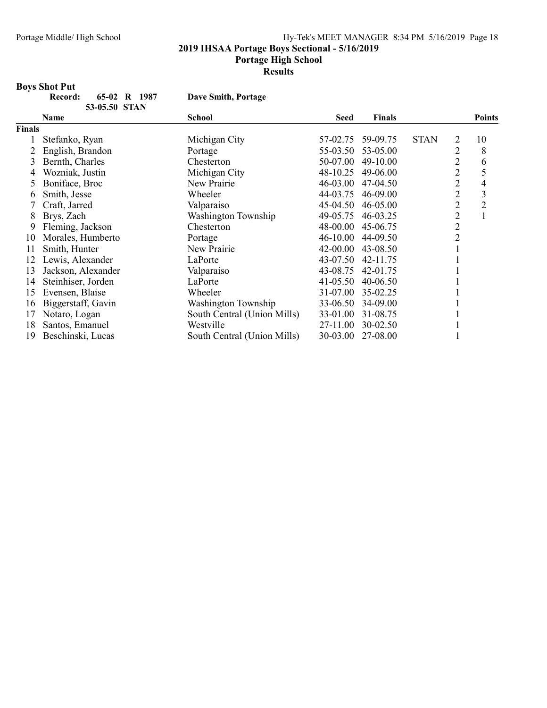#### 2019 IHSAA Portage Boys Sectional - 5/16/2019

#### Portage High School

Presults

# Boys Shot Put

| rd: | 65-02 R 1987  |  |
|-----|---------------|--|
|     | 53-05.50 STAN |  |

Dave Smith, Portage

|        | Name               | <b>School</b>               | <b>Seed</b>  | <b>Finals</b> |             |                | <b>Points</b>  |
|--------|--------------------|-----------------------------|--------------|---------------|-------------|----------------|----------------|
| Finals |                    |                             |              |               |             |                |                |
|        | Stefanko, Ryan     | Michigan City               | 57-02.75     | 59-09.75      | <b>STAN</b> | 2              | 10             |
|        | English, Brandon   | Portage                     | 55-03.50     | 53-05.00      |             | $\overline{2}$ | 8              |
| 3      | Bernth, Charles    | Chesterton                  | 50-07.00     | 49-10.00      |             | $\overline{2}$ | 6              |
| 4      | Wozniak, Justin    | Michigan City               | 48-10.25     | 49-06.00      |             | $\overline{2}$ | 5              |
| 5      | Boniface, Broc     | New Prairie                 | 46-03.00     | 47-04.50      |             | $\overline{2}$ | 4              |
| 6      | Smith, Jesse       | Wheeler                     | 44-03.75     | 46-09.00      |             | $\overline{2}$ | 3              |
|        | Craft, Jarred      | Valparaiso                  | 45-04.50     | 46-05.00      |             | $\overline{2}$ | $\overline{2}$ |
| 8      | Brys, Zach         | Washington Township         | 49-05.75     | 46-03.25      |             | $\overline{2}$ |                |
| 9      | Fleming, Jackson   | Chesterton                  | 48-00.00     | 45-06.75      |             | $\overline{2}$ |                |
| 10     | Morales, Humberto  | Portage                     | 46-10.00     | 44-09.50      |             | $\overline{2}$ |                |
| 11     | Smith, Hunter      | New Prairie                 | 42-00.00     | 43-08.50      |             |                |                |
| 12     | Lewis, Alexander   | LaPorte                     | 43-07.50     | 42-11.75      |             |                |                |
| 13     | Jackson, Alexander | Valparaiso                  | 43-08.75     | 42-01.75      |             |                |                |
| 14     | Steinhiser, Jorden | LaPorte                     | $41 - 05.50$ | 40-06.50      |             |                |                |
| 15     | Evensen, Blaise    | Wheeler                     | 31-07.00     | 35-02.25      |             |                |                |
| 16     | Biggerstaff, Gavin | Washington Township         | 33-06.50     | 34-09.00      |             |                |                |
| 17     | Notaro, Logan      | South Central (Union Mills) | 33-01.00     | 31-08.75      |             |                |                |
| 18     | Santos, Emanuel    | Westville                   | 27-11.00     | 30-02.50      |             |                |                |
| 19     | Beschinski, Lucas  | South Central (Union Mills) | 30-03.00     | 27-08.00      |             |                |                |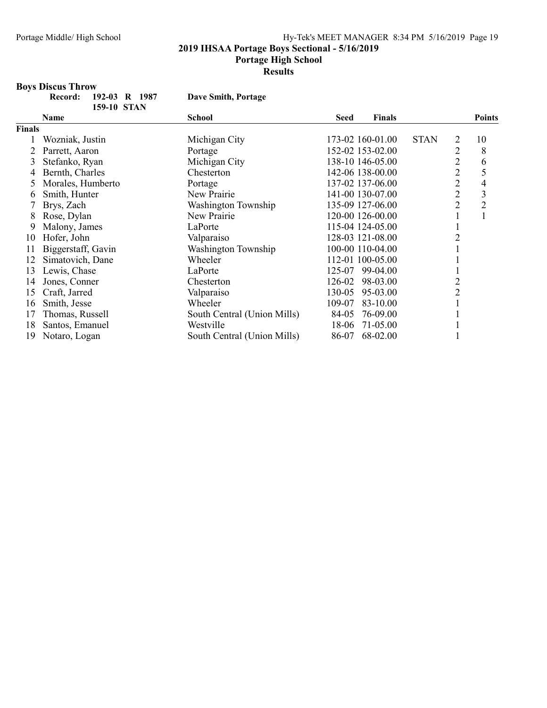#### 2019 IHSAA Portage Boys Sectional - 5/16/2019

#### Portage High School

Presults

# **Boys Discus Throw<br>Record:** 19

| ord: | 192-03 R 1987 |  |
|------|---------------|--|
|      | 159-10 STAN   |  |

Dave Smith, Portage

|               | 177-19 JIIN        |                             |             |                  |             |                |                |
|---------------|--------------------|-----------------------------|-------------|------------------|-------------|----------------|----------------|
|               | Name               | <b>School</b>               | <b>Seed</b> | <b>Finals</b>    |             |                | <b>Points</b>  |
| <b>Finals</b> |                    |                             |             |                  |             |                |                |
|               | Wozniak, Justin    | Michigan City               |             | 173-02 160-01.00 | <b>STAN</b> | 2              | 10             |
|               | Parrett, Aaron     | Portage                     |             | 152-02 153-02.00 |             | 2              | 8              |
| 3             | Stefanko, Ryan     | Michigan City               |             | 138-10 146-05.00 |             | 2              | 6              |
| 4             | Bernth, Charles    | Chesterton                  |             | 142-06 138-00.00 |             | $\overline{2}$ | 5              |
|               | Morales, Humberto  | Portage                     |             | 137-02 137-06.00 |             | 2              | 4              |
| 6             | Smith, Hunter      | New Prairie                 |             | 141-00 130-07.00 |             | $\overline{2}$ | 3              |
|               | Brys, Zach         | Washington Township         |             | 135-09 127-06.00 |             | 2              | $\overline{2}$ |
| 8             | Rose, Dylan        | New Prairie                 |             | 120-00 126-00.00 |             |                |                |
| 9             | Malony, James      | LaPorte                     |             | 115-04 124-05.00 |             |                |                |
| 10            | Hofer, John        | Valparaiso                  |             | 128-03 121-08.00 |             |                |                |
| 11            | Biggerstaff, Gavin | Washington Township         |             | 100-00 110-04.00 |             |                |                |
| 12            | Simatovich, Dane   | Wheeler                     |             | 112-01 100-05.00 |             |                |                |
| 13            | Lewis, Chase       | LaPorte                     | 125-07      | 99-04.00         |             |                |                |
| 14            | Jones, Conner      | Chesterton                  | 126-02      | 98-03.00         |             |                |                |
| 15            | Craft, Jarred      | Valparaiso                  | 130-05      | 95-03.00         |             | 2              |                |
| 16            | Smith, Jesse       | Wheeler                     | 109-07      | 83-10.00         |             |                |                |
| 17            | Thomas, Russell    | South Central (Union Mills) | 84-05       | 76-09.00         |             |                |                |
| 18            | Santos, Emanuel    | Westville                   | 18-06       | 71-05.00         |             |                |                |
| 19            | Notaro, Logan      | South Central (Union Mills) | 86-07       | 68-02.00         |             |                |                |